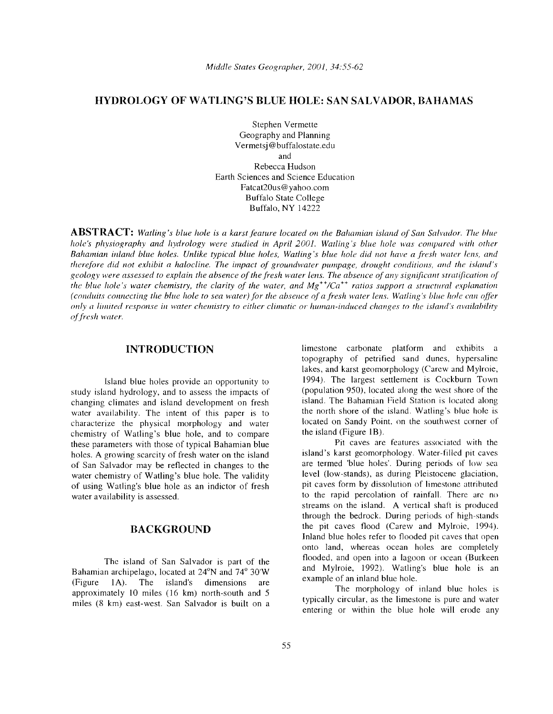# **HYDROLOGY OF WATLING'S BLUE HOLE: SAN SALVADOR, BAHAMAS**

Stephen Vermette Geography and Planning Vermetsj@buffalostate.edu and Rebecca Hudson Earth Sciences and Science Education Fatcat20us@yahoo.com Buffalo State College Buffalo, NY 14222

**ABSTRACT:** *Watling's blue hole is a karst feature located on the Bahamian island of San Salvador. The blue hole's physiography and hydrology were studied in April 2001. Watling's blue hole was compared with other Bahamian inland blue holes. Unlike typical blue holes, Watling's blue hole did not have a fresh water lens, and therefore did not exhibit a halocline. The impact of groundwater pumpage, drought conditions, and the island's geology were assessed to explain the absence ofthe fresh water lens. The absence ofany significant stratification of the blue hole's water chemistry, the clarity of the water, and Mg<sup>++</sup>/Ca<sup>++</sup> ratios support a structural explanation (conduits connecting the blue hole to sea water) for the absence ofa fresh water lens. Watling's blue hole can offer only a limited response in water chemistry to either climatic or human-induced changes to the island's availability offresh water.* 

## **INTRODUCTION**

Island blue holes provide an opportunity to (population 950), located along the west shore of the study island hydrology, and to assess the impacts of (population 950), located along the west shore of the study climates and island development on fresh island. The Ba changing climates and island development on fresh island. The Bahamian Field Station is located along<br>water availability. The intent of this paper is to the north shore of the island. Watling's blue hole is water availability. The intent of this paper is to the north shore of the island. Watling's blue hole is characterize the physical morphology and water located on Sandy Point, on the southwest corner of characterize the physical morphology and water located on Sandy Point.<br>
chemistry of Watling's blue hole and to compare the island (Figure 1B). chemistry of Watling's blue hole, and to compare the island (Figure 1B).<br>these parameters with those of typical Bahamian blue The series are features associated with the these parameters with those of typical Bahamian blue<br>holes A growing scarcity of fresh water on the island<br>island's karst geomorphology. Water-filled pit caves holes. A growing scarcity of fresh water on the island island island's karst geomorphology. Water-filled pit caves<br>of San Salvador may be reflected in changes to the are termed 'blue holes'. During periods of low sea of San Salvador may be reflected in changes to the are termed 'blue holes'. During periods of low sea<br>water chemistry of Watling's blue hole. The validity level (low-stands), as during Pleistocene glaciation, water chemistry of Watling's blue hole. The validity level (low-stands), as during Pleistocene glaciation, of using Watling's blue hole as an indictor of fresh pit caves form by dissolution of limestone attributed of using Watling's blue hole as an indictor of fresh water availability is assessed. The rapid percolation of rainfall. There are no availability is assessed.

Bahamian archipelago, located at  $24^{\circ}N$  and  $74^{\circ}30'W$  and Mylroie, 1992). Watung<br>Eigune 14) The island's dimensions are example of an inland blue hole. (Figure 1A). The island's dimensions are example of an inland blue holes is approximately 10 miles (16 km) north-south and 5 The morphology of inland blue holes is approximately 10 miles (16 km) north-south and 5 typicall

limestone carbonate platform and exhibits a topography of petrified sand dunes, hypersaline lakes, and karst geomorphology (Carew and Mylroie, 1994). The largest settlement is Cockburn Town

streams on the island. A vertical shaft is produced through the bedrock. During periods of high-stands the pit caves flood (Carew and Mylroic, 1994). **BACKGROUND**  Inland blue holes refer to flooded pit caves that open onto land, whereas ocean holes are completely The island of San Salvador is part of the flooded, and open into a lagoon or ocean (Burkeen<br>In archivalago located at  $24^{\circ}$ N and  $74^{\circ}$  20 W and Mylroie, 1992). Watling's blue hole is an

miles (8 km) east-west. San Salvador is built on a entering or within the blue hole will erode any<br>entering or within the blue hole will erode any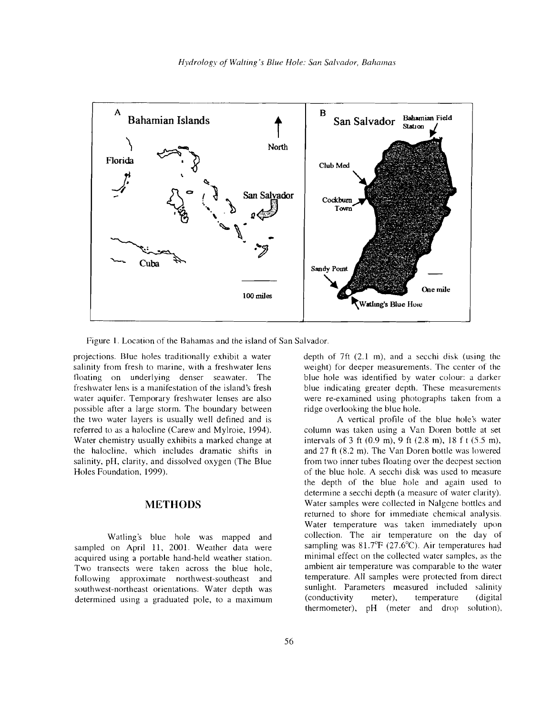

Figure 1. Location of the Bahamas and the island of San Salvador.

projections. Blue holes traditionally exhibit a water salinity from fresh to marine, with a freshwater lens floating on underlying denser seawater. The freshwater lens is a manifestation of the island's fresh water aquifer. Temporary freshwater lenses are also possible after a large storm. The boundary between the two water layers is usually well defined and is referred to as a halocline (Carew and Mylroie, 1994). Water chemistry usually exhibits a marked change at the halocline, which includes dramatic shifts in salinity, pH, clarity, and dissolved oxygen (The Blue Holes Foundation, 1999).

# **METHODS**

Watling's blue hole was mapped and sampled on April 11, 2001. Weather data were acquired using a portable hand-held weather station. Two transects were taken across the blue hole, following approximate northwest-southeast and southwest-northeast orientations. Water depth was determined using a graduated pole, to a maximum

depth of 7ft (2.1 m), and a secchi disk (using the weight) for deeper measurements. The center of the blue hole was identified by water colour: a darker blue indicating greater depth. These measurements were re-examined using photographs taken from a ridge overlooking the blue hole.

A vertical profile of the blue hole's water column was taken using a Van Doren bottle at set intervals of 3 ft (0.9 m), 9 ft (2.8 m), 18 f t (55 m), and 27 ft (8.2 m). The Van Doren bottle was lowered from two inner tubes floating over the deepest section of the blue hole. A secchi disk was used to measure the depth of the blue hole and again used to determine a secchi depth (a measure of water clarity). Water samples were collected in Nalgene bottles and returned to shore for immediate chemical analysis. Water temperature was taken immediately upon collection. The air temperature on the day of sampling was  $81.7^{\circ}F$  (27.6°C). Air temperatures had minimal effect on the collected water samples, as the ambient air temperature was comparable to the water temperature. All samples were protected from direct sunlight. Parameters measured included salinity (conductivity meter), temperature (digital thermometer), pH (meter and drop solution),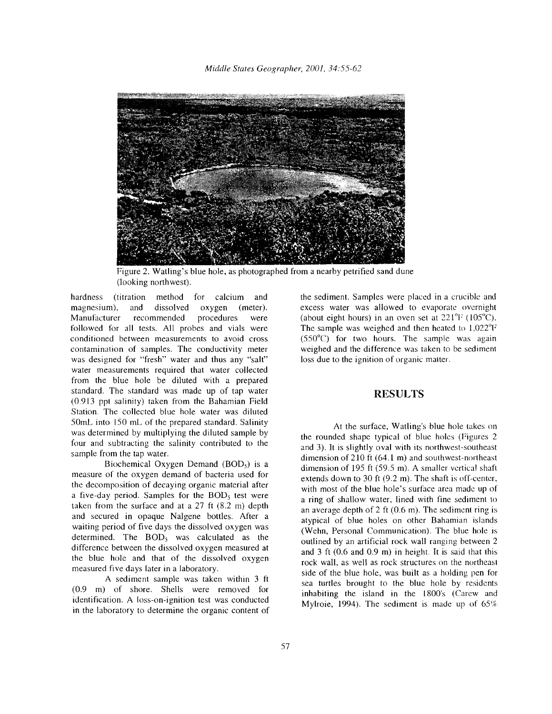

Figure 2. Watling's blue hole, as photographed from a nearby petrified sand dune (looking northwest).

hardness (titration method for calcium and magnesium), and dissolved oxygen (meter). Manufacturer recommended procedures were followed for all tests. All probes and vials were conditioned between measurements to avoid cross contamination of samples. The conductivity meter was designed for "fresh" water and thus any "salt" water measurements required that water collected from the blue hole be diluted with a prepared standard. The standard was made up of tap water (0.913 ppt salinity) taken from the Bahamian Field Station. The collected blue hole water was diluted 50mL into 150 mL of the prepared standard. Salinity was determined by multiplying the diluted sample by four and subtracting the salinity contributed to the sample from the tap water.

Biochemical Oxygen Demand (BOD<sub>5</sub>) is a measure of the oxygen demand of bacteria used for the decomposition of decaying organic material after a five-day period. Samples for the BODs test were taken from the surface and at a 27 ft (8.2 m) depth and secured in opaque Nalgene bottles. After a waiting period of five days the dissolved oxygen was determined. The  $BOD<sub>5</sub>$  was calculated as the difference between the dissolved oxygen measured at the blue hole and that of the dissolved oxygen measured five days later in a laboratory.

A sediment sample was taken within 3 ft (0.9 m) of shore. Shells were removed for identification. A loss-on-ignition test was conducted in the laboratory to determine the organic content of the sediment. Samples were placed in a crucible and excess water was allowed to evaporate overnight (about eight hours) in an oven set at  $221^{\circ}$ F (105<sup>o</sup>C). The sample was weighed and then heated to I,022°F (550°C) for two hours. The sample was again weighed and the difference was taken to be sediment loss due to the ignition of organic matter.

## **RESULTS**

At the surface, Watling's blue hole takes on the rounded shape typical of blue holes (Figures 2 and 3). It is slightly oval with its northwest-southeast dimension of210 ft (64.1 m) and southwest-northeast dimension of 195 ft (59.5 m). A smaller vertical shaft extends down to 30 ft (9.2 m). The shaft is off-center, with most of the blue hole's surface area made up of a ring of shallow water, lined with fine sediment to an average depth of 2 ft (0.6 m). The sediment ring is atypical of blue holes on other Bahamian islands (Wehn, Personal Communication). The blue hole is outlined by an artificial rock wall ranging between 2 and 3 ft (0.6 and 0.9 m) in height. It is said that this rock wall, as well as rock structures on the northeast side of the blue hole, was built as a holding pen for sea turtles brought to the blue hole by residents inhabiting the island in the 1800's (Carew and Mylroie, 1994). The sediment is made up of  $65\%$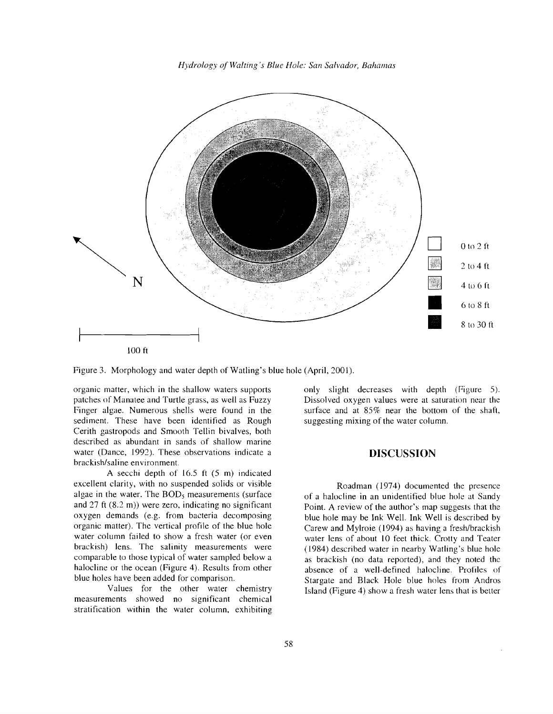*Hydrology of Waiting's Blue Hole: San Salvador, Bahamas* 



Figure 3. Morphology and water depth of Watling's blue hole (April, 2001).

organic matter, which in the shallow waters supports patches of Manatee and Turtle grass, as well as Fuzzy Finger algae. Numerous shells were found in the sediment. These have been identified as Rough Cerith gastropods and Smooth Tellin bivalves, both described as abundant in sands of shallow marine water (Dance, 1992). These observations indicate a brackish/saline environment.

A secchi depth of 16.5 ft (5 m) indicated excellent clarity, with no suspended solids or visible algae in the water. The *BODs* measurements (surface and 27 ft (8.2 m)) were zero, indicating no significant oxygen demands (e.g. from bacteria decomposing organic matter). The vertical profile of the blue hole water column failed to show a fresh water (or even brackish) lens. The salinity measurements were comparable to those typical of water sampled below a halocline or the ocean (Figure 4). Results from other blue holes have been added for comparison.

Values for the other water chemistry measurements showed no significant chemical stratification within the water column, exhibiting only slight decreases with depth (Figure 5). Dissolved oxygen values were at saturation near the surface and at 85% near the bottom of the shaft, suggesting mixing of the water column.

# **DISCUSSION**

Roadman (1974) documented the presence of a halocline in an unidentified blue hole at Sandy Point. A review of the author's map suggests that the blue hole may be Ink Well. Ink Well is described by Carew and Mylroie (1994) as having a fresh/brackish water lens of about 10 feet thick. Crotty and Teater (1984) described water in nearby Watling's blue hole as brackish (no data reported), and they noted the absence of a well-defined halocline. Profiles of Stargate and Black Hole blue holes from Andros Island (Figure 4) show a fresh water lens that is better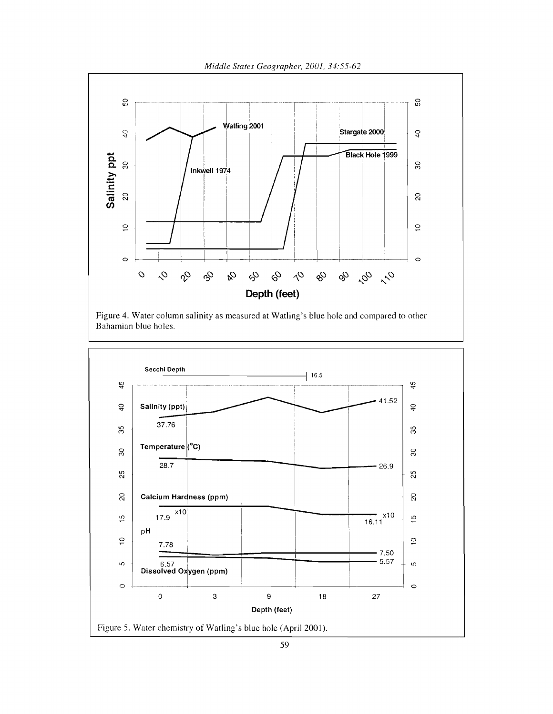*Middle States Geographer,* 2001, 34:55-62



Figure 4. Water column salinity as measured at Watling's blue hole and compared to other Bahamian blue holes.

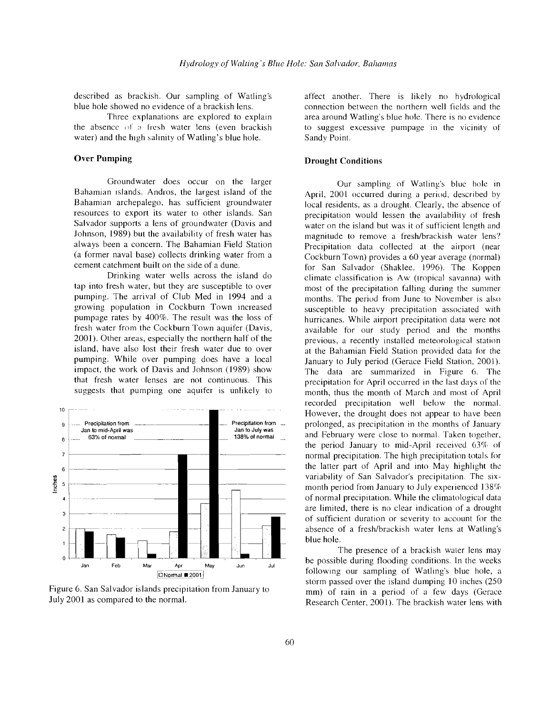described as brackish. Our sampling of Watling's blue hole showed no evidence of a brackish lens.

Three explanations are explored to explain the absence of a fresh water lens (even brackish water) and the high salinity of Watling's blue hole.

### **Over Pumping**

Groundwater does occur on the larger Bahamian islands. Andros, the largest island of the Bahamian archepalego, has sufficient groundwater resources to export its water to other islands. San Salvador supports a lens of groundwater (Davis and Johnson, 1989) but the availability of fresh water has always been a concern. The Bahamian Field Station (a former naval base) collects drinking water from a cement catchment built on the side of a dune.

Drinking water wells across the island do tap into fresh water, but they are susceptible to over pumping. The arrival of Club Med in 1994 and a growing population in Cockburn Town increased pumpage rates by 400%. The result was the loss of fresh water from the Cockburn Town aquifer (Davis, 2001). Other areas, especially the northern half of the island, have also lost their fresh water due to over pumping. While over pumping does have a local impact, the work of Davis and Johnson (1989) show that fresh water lenses are not continuous. This suggests that pumping one aquifer is unlikely to



Figure 6. San Salvador islands precipitation from January to July 2001 as compared to the normal.

affect another. There is likely no hydrological connection between the northern well fields and the area around Watling's blue hole. There is no evidence to suggest excessive purnpage in the vicinity of Sandy Point.

## **Drought Conditions**

Our sampling of Watling's blue hole in April, 2001 occurred during a period, described by local residents, as a drought. Clearly, the absence of precipitation would lessen the availability of fresh water on the island but was it of sufficient length and magnitude to remove a fresh/brackish water lens? Precipitation data collected at the airport (near Cockburn Town) provides a 60 year average (normal) for San Salvador (Shaklee, 1996). The Koppen climate classification is Aw (tropical savanna) with most of the precipitation falling during the summer months. The period from June to November is also susceptible to heavy precipitation associated with hurricanes. While airport precipitation data were not available for our study period and the months previous, a recently installed meteorological station at the Bahamian Field Station provided data for the January to July period (Gerace Field Station, 2001). The data are summarized in Figure 6. The precipitation for April occurred in the last days of the month, thus the month of March and most of April recorded precipitation well below the normal. However, the drought does not appear to have been prolonged, as precipitation in the months of January and February were close to normal. Taken together, the period January to mid-April received  $63\%$  of normal precipitation. The high precipitation totals for the latter part of April and into May highlight the variability of San Salvador's precipitation. The sixmonth period from January to July experienced  $138%$ of normal precipitation. While the climatological data are limited, there is no clear indication of a drought of sufficient duration or severity to account for the absence of a fresh/brackish water lens at Watling's blue hole.

The presence of a brackish water lens may be possible during flooding conditions. In the weeks following our sampling of Watling's blue hole, a storm passed over the island dumping 10 inches (250 mm) of rain in a period of a few days (Gerace Research Center, 2001). The brackish water lens with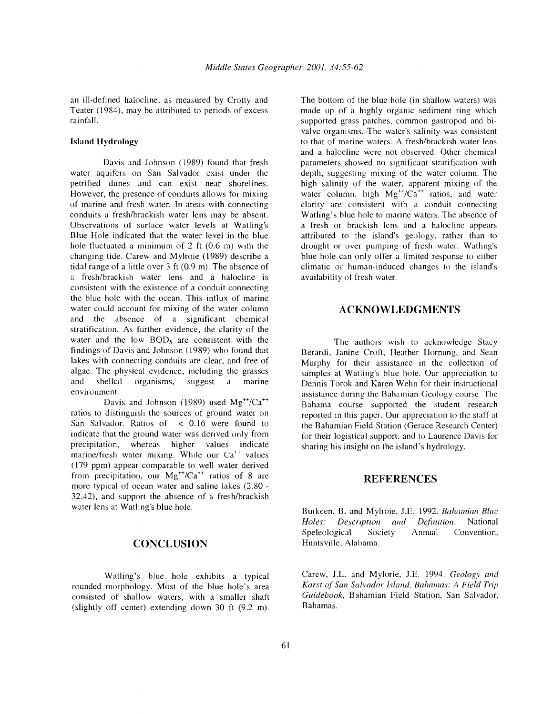an ill-defined halocline, as measured by Crotty and Teater (1984), may be attributed to periods of excess rainfall.

#### **Island** Hydrology

Davis and Johnson (1989) found that fresh water aquifers on San Salvador exist under the petrified dunes and can exist near shorelines. However, the presence of conduits allows for mixing of marine and fresh water. In areas with connecting conduits a fresh/brackish water lens may be absent. Observations of surface water levels at Watling's Blue Hole indicated that the water level in the blue hole fluctuated a minimum of 2 ft  $(0.6 \text{ m})$  with the changing tide. Carew and Mylroie (1989) describe a tidal range of a little over 3 ft (0.9 m). The absence of a fresh/brackish water lens and a halocline is consistent with the existence of a conduit connecting the blue hole with the ocean. This influx of marine water could account for mixing of the water column and the absence of a significant chemical stratification. As further evidence, the clarity of the water and the low  $BOD<sub>5</sub>$  are consistent with the findings of Davis and Johnson (1989) who found that lakes with connecting conduits are clear, and free of algae. The physical evidence, including the grasses and shelled organisms, suggest a marine environment.

Davis and Johnson (1989) used  $Mg^{++}/Ca^{++}$ ratios to distinguish the sources of ground water on San Salvador. Ratios of < 0.16 were found to indicate that the ground water was derived only from precipitation, whereas higher values indicate marine/fresh water mixing. While our  $Ca^{++}$  values (179 ppm) appear comparable to well water derived from precipitation, our  $Mg^{++}/Ca^{++}$  ratios of 8 are more typical of ocean water and saline lakes (2.80 32.42), and support the absence of a fresh/brackish water lens at Watling's blue hole.

## **CONCLUSION**

Watling's blue hole exhibits a typical rounded morphology. Most of the blue hole's area consisted of shallow waters, with a smaller shaft (slightly off center) extending down 30 ft (9.2 m).

The bottom of the blue hole (in shallow waters) was made up of a highly organic sediment ring which supported grass patches, common gastropod and bivalve organisms. The water's salinity was consistent to that of marine waters. A fresh/brackish water lens and a halocline were not observed. Other chemical parameters showed no significant stratification with depth, suggesting mixing of the water column. The high salinity of the water, apparent mixing of the water column, high  $Mg^{++}/Ca^{++}$  ratios, and water clarity are consistent with a conduit connecting Watling's blue hole to marine waters. The absence of a fresh or brackish lens and a halocline appears attributed to the island's geology, rather than to drought or over pumping of fresh water. Watling's blue hole can only offer a limited response to either climatic or human-induced changes to the island's availability of fresh water.

## **ACKNOWLEDGMENTS**

The authors wish to acknowledge Stacy Berardi, Janine Croft, Heather Hornung, and Sean Murphy for their assistance in the collection of samples at Watling's blue hole. Our appreciation to Dennis Torok and Karen Wehn for their instructional assistance during the Bahamian Geology course. The Bahama course supported the student research reported in this paper. Our appreciation to the staff at the Bahamian Field Station (Gerace Research Center) for their logistical support, and to Laurence Davis for sharing his insight on the island's hydrology.

#### **REFERENCES**

Burkeen, B. and Mylroie, J.E. 1992. *Bahamian Blue Holes: Description and Definition.* National Speleological Society Annual Convention, Huntsville, Alabama.

Carew, J.L. and Mylorie, J.E. 1994. *Geology and Karst of San Salvador Island, Bahamas: A Field Trip Guidebook,* Bahamian Field Station, San Salvador, Bahamas.